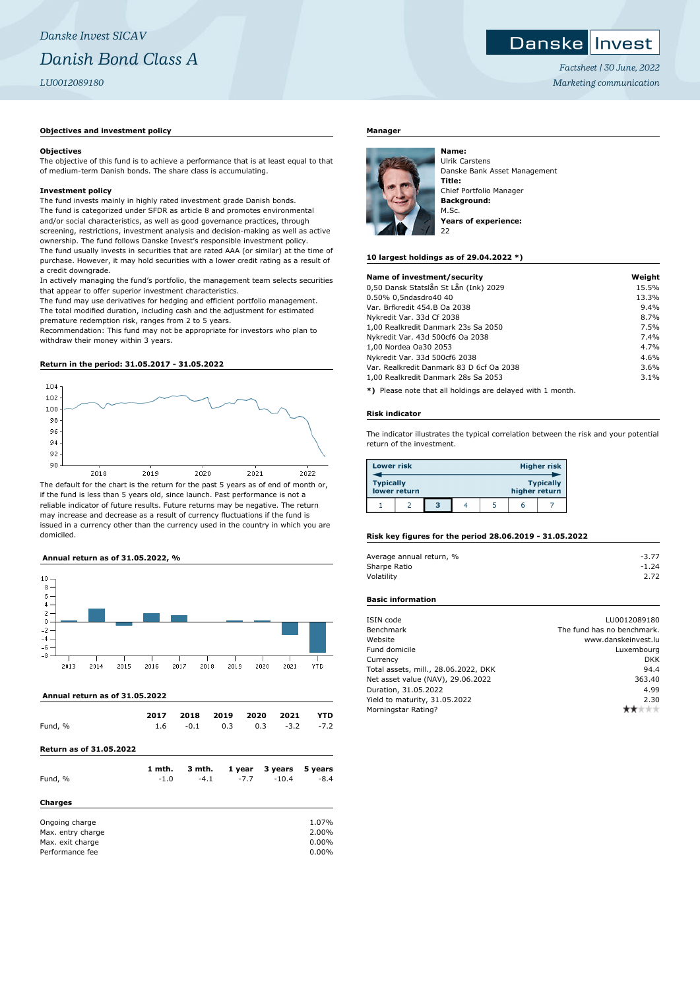## *Danske Invest SICAV Danish Bond Class A LU0012089180*

#### **Objectives and investment policy**

#### **Objectives**

The objective of this fund is to achieve a performance that is at least equal to that of medium-term Danish bonds. The share class is accumulating.

#### **Investment policy**

The fund invests mainly in highly rated investment grade Danish bonds. The fund is categorized under SFDR as article 8 and promotes environmental and/or social characteristics, as well as good governance practices, through screening, restrictions, investment analysis and decision-making as well as active ownership. The fund follows Danske Invest's responsible investment policy. The fund usually invests in securities that are rated AAA (or similar) at the time of purchase. However, it may hold securities with a lower credit rating as a result of a credit downgrade.

In actively managing the fund's portfolio, the management team selects securities that appear to offer superior investment characteristics.

The fund may use derivatives for hedging and efficient portfolio management. The total modified duration, including cash and the adjustment for estimated premature redemption risk, ranges from 2 to 5 years.

Recommendation: This fund may not be appropriate for investors who plan to withdraw their money within 3 years.

#### **Return in the period: 31.05.2017 - 31.05.2022**



if the fund is less than 5 years old, since launch. Past performance is not a reliable indicator of future results. Future returns may be negative. The return may increase and decrease as a result of currency fluctuations if the fund is issued in a currency other than the currency used in the country in which you are domiciled.

#### **Annual return as of 31.05.2022, %**



 **Annual return as of 31.05.2022**

| Fund, %                                                                    | 2017   | 2018   | 2019 | 2020   | 2021    | YTD                              |
|----------------------------------------------------------------------------|--------|--------|------|--------|---------|----------------------------------|
|                                                                            | 1.6    | $-0.1$ | 0.3  | 0.3    | $-3.2$  | $-7.2$                           |
| <b>Return as of 31.05.2022</b>                                             |        |        |      |        |         |                                  |
| Fund, %                                                                    | 1 mth. | 3 mth. |      | 1 year | 3 years | 5 years                          |
| <b>Charges</b>                                                             | $-1.0$ | $-4.1$ |      | $-7.7$ | $-10.4$ | $-8.4$                           |
| Ongoing charge<br>Max. entry charge<br>Max. exit charge<br>Performance fee |        |        |      |        |         | 1.07%<br>2.00%<br>0.00%<br>0.00% |

### **Danskellnyest**

*Factsheet | 30 June, 2022 Marketing communication*

#### **Manager**



Ulrik Carstens Danske Bank Asset Management **Title:** Chief Portfolio Manager **Background:** M.Sc. **Years of experience:** 22

#### **10 largest holdings as of 29.04.2022 \*)**

| Name of investment/security              | Weight |
|------------------------------------------|--------|
| 0,50 Dansk Statslån St Lån (Ink) 2029    | 15.5%  |
| 0.50% 0,5ndasdro40 40                    | 13.3%  |
| Var. Brfkredit 454.B Oa 2038             | 9.4%   |
| Nykredit Var. 33d Cf 2038                | 8.7%   |
| 1,00 Realkredit Danmark 23s Sa 2050      | 7.5%   |
| Nykredit Var. 43d 500cf6 Oa 2038         | 7.4%   |
| 1,00 Nordea Oa30 2053                    | 4.7%   |
| Nykredit Var. 33d 500cf6 2038            | 4.6%   |
| Var. Realkredit Danmark 83 D 6cf Oa 2038 | 3.6%   |
| 1,00 Realkredit Danmark 28s Sa 2053      | 3.1%   |
|                                          |        |

**\*)** Please note that all holdings are delayed with 1 month.

#### **Risk indicator**

The indicator illustrates the typical correlation between the risk and your potential return of the investment.

| <b>Lower risk</b> |              |   |  |               | <b>Higher risk</b> |
|-------------------|--------------|---|--|---------------|--------------------|
| <b>Typically</b>  | lower return |   |  | higher return | <b>Typically</b>   |
|                   |              | з |  | h             |                    |

#### **Risk key figures for the period 28.06.2019 - 31.05.2022**

| Average annual return, % | $-3.77$ |
|--------------------------|---------|
| Sharpe Ratio             | $-1.24$ |
| Volatility               | 2.72    |

#### **Basic information**

| ISIN code                            | LU0012089180               |
|--------------------------------------|----------------------------|
| Benchmark                            | The fund has no benchmark. |
| Website                              | www.danskeinvest.lu        |
| Fund domicile                        | Luxembourg                 |
| Currency                             | <b>DKK</b>                 |
| Total assets, mill., 28.06.2022, DKK | 94.4                       |
| Net asset value (NAV), 29.06.2022    | 363.40                     |
| Duration, 31.05.2022                 | 4.99                       |
| Yield to maturity, 31.05.2022        | 2.30                       |
| Morningstar Rating?                  |                            |